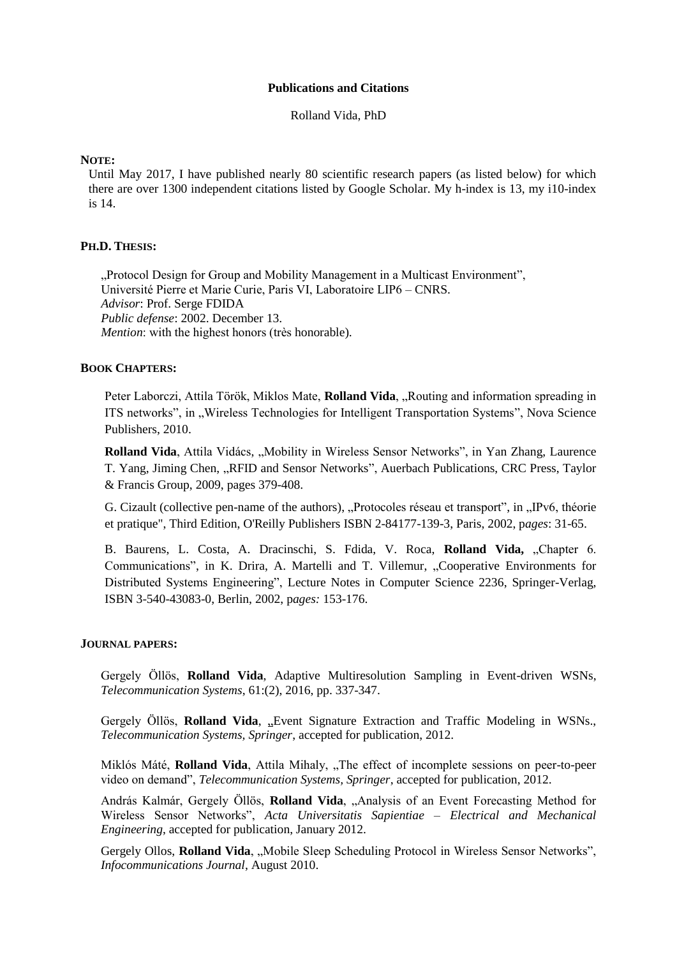#### **Publications and Citations**

Rolland Vida, PhD

## **NOTE:**

Until May 2017, I have published nearly 80 scientific research papers (as listed below) for which there are over 1300 independent citations listed by Google Scholar. My h-index is 13, my i10-index is 14.

# **PH.D. THESIS:**

", Protocol Design for Group and Mobility Management in a Multicast Environment", Université Pierre et Marie Curie, Paris VI, Laboratoire LIP6 – CNRS. *Advisor*: Prof. Serge FDIDA *Public defense*: 2002. December 13. *Mention*: with the highest honors (très honorable).

# **BOOK CHAPTERS:**

Peter Laborczi, Attila Török, Miklos Mate, Rolland Vida, "Routing and information spreading in ITS networks", in "Wireless Technologies for Intelligent Transportation Systems", Nova Science Publishers, 2010.

**Rolland Vida**, Attila Vidács, "Mobility in Wireless Sensor Networks", in Yan Zhang, Laurence T. Yang, Jiming Chen, "RFID and Sensor Networks", Auerbach Publications, CRC Press, Taylor & Francis Group, 2009, pages 379-408.

G. Cizault (collective pen-name of the authors), "Protocoles réseau et transport", in "IPv6, théorie et pratique", Third Edition, O'Reilly Publishers ISBN 2-84177-139-3, Paris, 2002, p*ages*: 31-65.

B. Baurens, L. Costa, A. Dracinschi, S. Fdida, V. Roca, **Rolland Vida,** "Chapter 6. Communications", in K. Drira, A. Martelli and T. Villemur, "Cooperative Environments for Distributed Systems Engineering", Lecture Notes in Computer Science 2236, Springer-Verlag, ISBN 3-540-43083-0, Berlin, 2002, p*ages:* 153-176.

### **JOURNAL PAPERS:**

Gergely Öllös, **Rolland Vida**, Adaptive Multiresolution Sampling in Event-driven WSNs, *Telecommunication Systems*, 61:(2), 2016, pp. 337-347.

Gergely Öllös, Rolland Vida, "Event Signature Extraction and Traffic Modeling in WSNs., *Telecommunication Systems, Springer*, accepted for publication, 2012.

Miklós Máté, Rolland Vida, Attila Mihaly, "The effect of incomplete sessions on peer-to-peer video on demand", *Telecommunication Systems, Springer*, accepted for publication, 2012.

András Kalmár, Gergely Öllös, Rolland Vida, "Analysis of an Event Forecasting Method for Wireless Sensor Networks", *Acta Universitatis Sapientiae – Electrical and Mechanical Engineering*, accepted for publication, January 2012.

Gergely Ollos, **Rolland Vida**, "Mobile Sleep Scheduling Protocol in Wireless Sensor Networks", *Infocommunications Journal*, August 2010.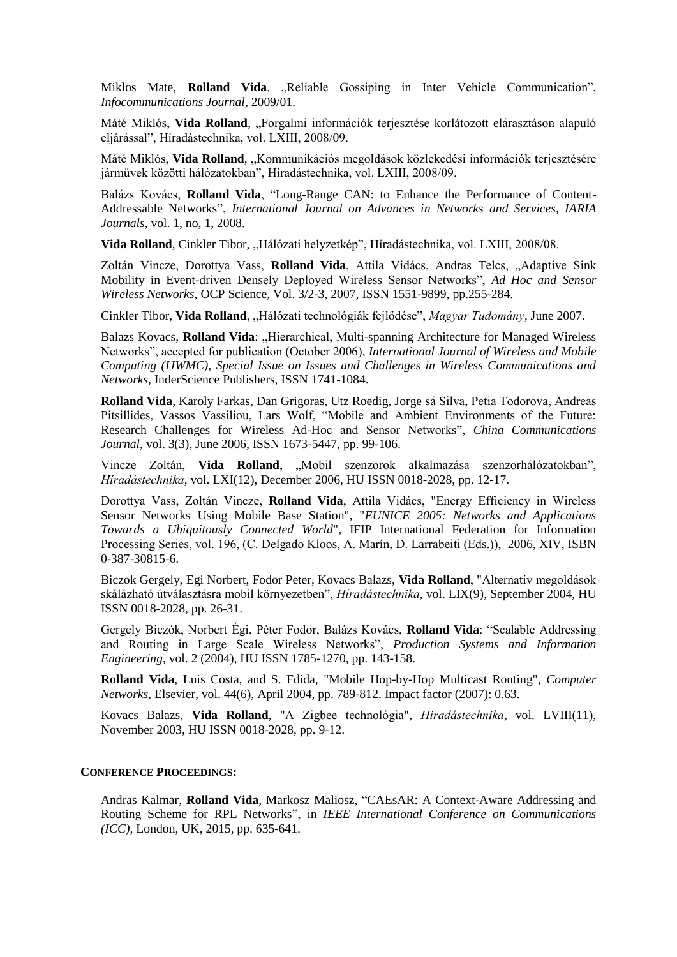Miklos Mate, Rolland Vida, "Reliable Gossiping in Inter Vehicle Communication", *Infocommunications Journal*, 2009/01.

Máté Miklós, **Vida Rolland**, "Forgalmi információk terjesztése korlátozott elárasztáson alapuló eljárással", Híradástechnika, vol. LXIII, 2008/09.

Máté Miklós, **Vida Rolland**, "Kommunikációs megoldások közlekedési információk terjesztésére járművek közötti hálózatokban", Híradástechnika, vol. LXIII, 2008/09.

Balázs Kovács, **Rolland Vida**, "Long-Range CAN: to Enhance the Performance of Content-Addressable Networks", *International Journal on Advances in Networks and Services, IARIA Journals*, vol. 1, no, 1, 2008.

Vida Rolland, Cinkler Tibor, "Hálózati helyzetkép", Híradástechnika, vol. LXIII, 2008/08.

Zoltán Vincze, Dorottya Vass, **Rolland Vida**, Attila Vidács, Andras Telcs, "Adaptive Sink Mobility in Event-driven Densely Deployed Wireless Sensor Networks", *Ad Hoc and Sensor Wireless Networks,* OCP Science, Vol. 3/2-3, 2007, ISSN 1551-9899, pp.255-284.

Cinkler Tibor, **Vida Rolland**, "Hálózati technológiák fejlődése", *Magyar Tudomány*, June 2007.

Balazs Kovacs, **Rolland Vida**: "Hierarchical, Multi-spanning Architecture for Managed Wireless Networks", accepted for publication (October 2006), *International Journal of Wireless and Mobile Computing (IJWMC), Special Issue on Issues and Challenges in Wireless Communications and Networks,* InderScience Publishers, ISSN 1741-1084.

**Rolland Vida**, Karoly Farkas, Dan Grigoras, Utz Roedig, Jorge sá Silva, Petia Todorova, Andreas Pitsillides, Vassos Vassiliou, Lars Wolf, "Mobile and Ambient Environments of the Future: Research Challenges for Wireless Ad-Hoc and Sensor Networks", *China Communications Journal*, vol. 3(3), June 2006, ISSN 1673-5447, pp. 99-106.

Vincze Zoltán, Vida Rolland, "Mobil szenzorok alkalmazása szenzorhálózatokban", *Híradástechnika*, vol. LXI(12), December 2006, HU ISSN 0018-2028, pp. 12-17.

Dorottya Vass, Zoltán Vincze, **Rolland Vida**, Attila Vidács, "Energy Efficiency in Wireless Sensor Networks Using Mobile Base Station", "*EUNICE 2005: Networks and Applications Towards a Ubiquitously Connected World*", IFIP International Federation for Information Processing Series, vol. 196, (C. Delgado Kloos, A. Marín, D. Larrabeiti (Eds.)), 2006, XIV, ISBN 0-387-30815-6.

Biczok Gergely, Egi Norbert, Fodor Peter, Kovacs Balazs, **Vida Rolland**, "Alternatív megoldások skálázható útválasztásra mobil környezetben", *Híradástechnika*, vol. LIX(9), September 2004, HU ISSN 0018-2028, pp. 26-31.

Gergely Biczók, Norbert Égi, Péter Fodor, Balázs Kovács, **Rolland Vida**: "Scalable Addressing and Routing in Large Scale Wireless Networks", *Production Systems and Information Engineering*, vol. 2 (2004), HU ISSN 1785-1270, pp. 143-158.

**Rolland Vida**, Luis Costa, and S. Fdida, ["Mobile Hop-by-Hop Multicast Routing",](http://www.sciencedirect.com/science?_ob=ArticleURL&_udi=B6VRG-4B5R9H7-1&_user=10&_handle=B-WA-A-A-AA-MsSAYVW-UUW-AUEVAEYUWC-AUEADDYYWC-CCBVCWCDU-AA-U&_fmt=summary&_coverDate=04%2F22%2F2004&_rdoc=5&_orig=browse&_srch=%23toc%236234%232004%23999559993%23485030!&_cdi=6234&view=c&_acct=C000050221&_version=1&_urlVersion=0&_userid=10&md5=b821b470490fcef6002673fcd03648b4) *Computer Networks*, Elsevier, vol. 44(6), April 2004, pp. 789-812. Impact factor (2007): 0.63.

Kovacs Balazs, **Vida Rolland**, ["A Zigbee technológia",](http://w3.tmit.bme.hu/~vida/cv/zigbee.pdf) *Hiradástechnika*, vol. LVIII(11), November 2003, HU ISSN 0018-2028, pp. 9-12.

#### **CONFERENCE PROCEEDINGS:**

Andras Kalmar, **Rolland Vida**, Markosz Maliosz, "CAEsAR: A Context-Aware Addressing and Routing Scheme for RPL Networks", in *IEEE International Conference on Communications (ICC)*, London, UK, 2015, pp. 635-641.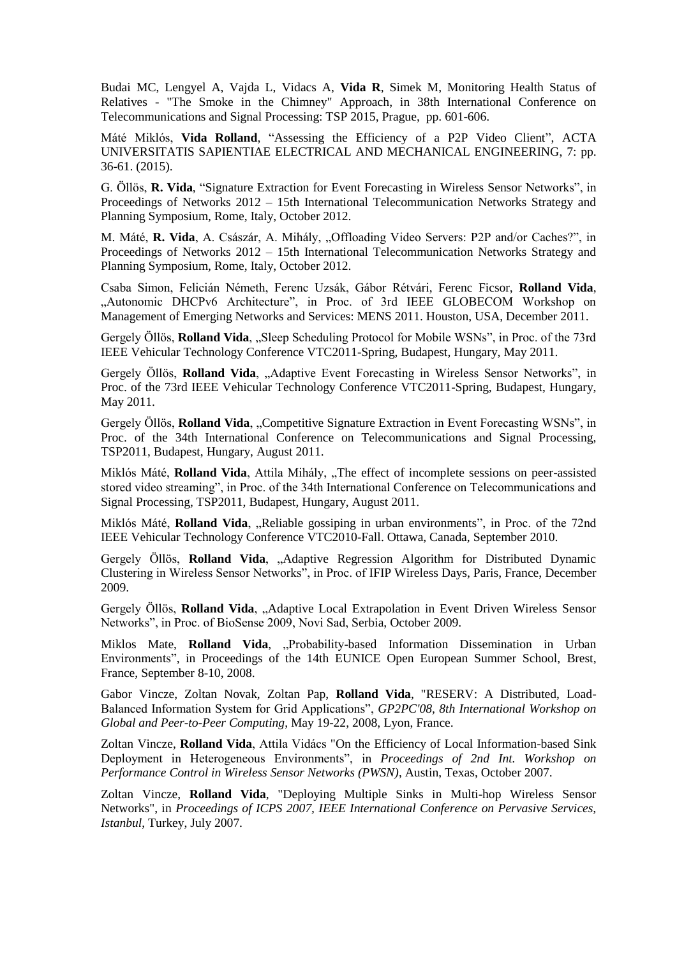Budai MC, Lengyel A, Vajda L, Vidacs A, **Vida R**, Simek M, Monitoring Health Status of Relatives - "The Smoke in the Chimney" Approach, in 38th International Conference on Telecommunications and Signal Processing: TSP 2015, Prague, pp. 601-606.

Máté Miklós, **Vida Rolland**, "Assessing the Efficiency of a P2P Video Client", ACTA UNIVERSITATIS SAPIENTIAE ELECTRICAL AND MECHANICAL ENGINEERING, 7: pp. 36-61. (2015).

G. Öllös, **R. Vida**, "Signature Extraction for Event Forecasting in Wireless Sensor Networks", in Proceedings of Networks 2012 – 15th International Telecommunication Networks Strategy and Planning Symposium, Rome, Italy, October 2012.

M. Máté, R. Vida, A. Császár, A. Mihály, "Offloading Video Servers: P2P and/or Caches?", in Proceedings of Networks 2012 – 15th International Telecommunication Networks Strategy and Planning Symposium, Rome, Italy, October 2012.

Csaba Simon, Felicián Németh, Ferenc Uzsák, Gábor Rétvári, Ferenc Ficsor, **Rolland Vida**, "Autonomic DHCPv6 Architecture", in Proc. of 3rd IEEE GLOBECOM Workshop on Management of Emerging Networks and Services: MENS 2011. Houston, USA, December 2011.

Gergely Öllös, **Rolland Vida**, "Sleep Scheduling Protocol for Mobile WSNs", in Proc. of the 73rd IEEE Vehicular Technology Conference VTC2011-Spring, Budapest, Hungary, May 2011.

Gergely Öllös, **Rolland Vida**, "Adaptive Event Forecasting in Wireless Sensor Networks", in Proc. of the 73rd IEEE Vehicular Technology Conference VTC2011-Spring, Budapest, Hungary, May 2011.

Gergely Öllös, **Rolland Vida**, "Competitive Signature Extraction in Event Forecasting WSNs", in Proc. of the 34th International Conference on Telecommunications and Signal Processing, TSP2011, Budapest, Hungary, August 2011.

Miklós Máté, **Rolland Vida**, Attila Mihály, "The effect of incomplete sessions on peer-assisted stored video streaming", in Proc. of the 34th International Conference on Telecommunications and Signal Processing, TSP2011, Budapest, Hungary, August 2011.

Miklós Máté, Rolland Vida, "Reliable gossiping in urban environments", in Proc. of the 72nd IEEE Vehicular Technology Conference VTC2010-Fall. Ottawa, Canada, September 2010.

Gergely Öllös, Rolland Vida, "Adaptive Regression Algorithm for Distributed Dynamic Clustering in Wireless Sensor Networks", in Proc. of IFIP Wireless Days, Paris, France, December 2009.

Gergely Öllös, Rolland Vida, "Adaptive Local Extrapolation in Event Driven Wireless Sensor Networks", in Proc. of BioSense 2009, Novi Sad, Serbia, October 2009.

Miklos Mate, Rolland Vida, "Probability-based Information Dissemination in Urban Environments", in Proceedings of the 14th EUNICE Open European Summer School, Brest, France, September 8-10, 2008.

Gabor Vincze, Zoltan Novak, Zoltan Pap, **Rolland Vida**, "RESERV: A Distributed, Load-Balanced Information System for Grid Applications", *GP2PC'08, 8th International Workshop on Global and Peer-to-Peer Computing*, May 19-22, 2008, Lyon, France.

Zoltan Vincze, **Rolland Vida**, Attila Vidács "On the Efficiency of Local Information-based Sink Deployment in Heterogeneous Environments", in *Proceedings of 2nd Int. Workshop on Performance Control in Wireless Sensor Networks (PWSN)*, Austin, Texas, October 2007.

Zoltan Vincze, **Rolland Vida**, "Deploying Multiple Sinks in Multi-hop Wireless Sensor Networks", in *Proceedings of ICPS 2007, IEEE International Conference on Pervasive Services, Istanbul*, Turkey, July 2007.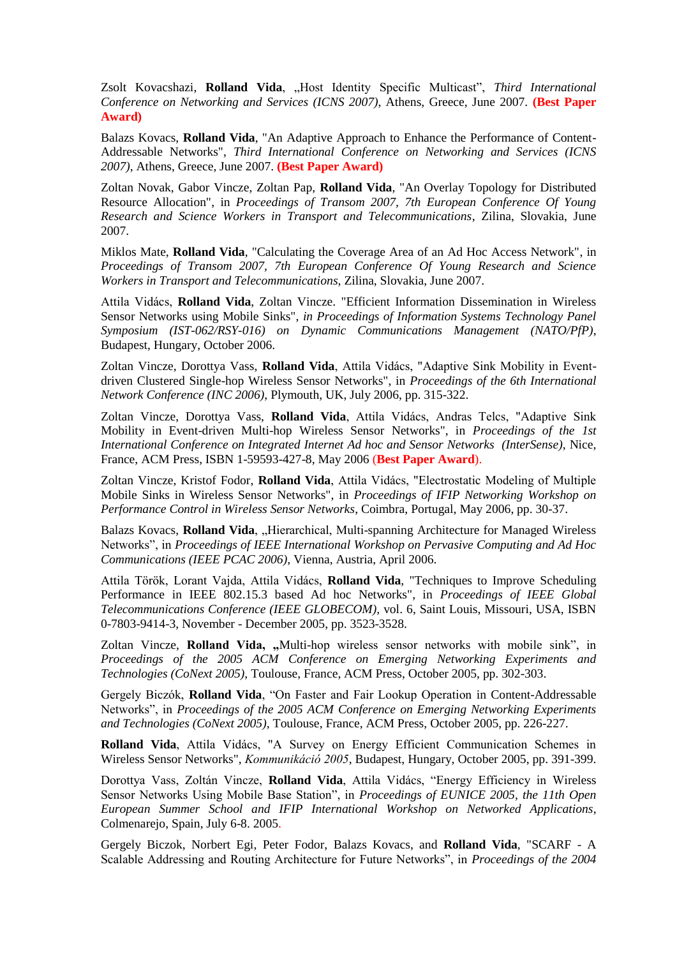Zsolt Kovacshazi, Rolland Vida, "Host Identity Specific Multicast", Third International *Conference on Networking and Services (ICNS 2007)*, Athens, Greece, June 2007. **(Best Paper Award)**

Balazs Kovacs, **Rolland Vida**, "An Adaptive Approach to Enhance the Performance of Content-Addressable Networks", *Third International Conference on Networking and Services (ICNS 2007)*, Athens, Greece, June 2007. **(Best Paper Award)**

Zoltan Novak, Gabor Vincze, Zoltan Pap, **Rolland Vida**, ["An Overlay Topology for Distributed](http://w3.tmit.bme.hu/~vida/cv/zsolna_sent.pdf)  [Resource Allocation",](http://w3.tmit.bme.hu/~vida/cv/zsolna_sent.pdf) in *Proceedings of Transom 2007, 7th European Conference Of Young Research and Science Workers in Transport and Telecommunications*, Zilina, Slovakia, June 2007.

Miklos Mate, **Rolland Vida**, ["Calculating the Coverage Area of an Ad Hoc Access Network",](http://w3.tmit.bme.hu/~vida/cv/mate_paper_short%20_2_.pdf) in *Proceedings of Transom 2007, 7th European Conference Of Young Research and Science Workers in Transport and Telecommunications*, Zilina, Slovakia, June 2007.

Attila Vidács, **Rolland Vida**, Zoltan Vincze. "Efficient Information Dissemination in Wireless Sensor Networks using Mobile Sinks", *in Proceedings of Information Systems Technology Panel Symposium (IST-062/RSY-016) on Dynamic Communications Management (NATO/PfP)*, Budapest, Hungary, October 2006.

Zoltan Vincze, Dorottya Vass, **Rolland Vida**, Attila Vidács, "Adaptive Sink Mobility in Eventdriven Clustered Single-hop Wireless Sensor Networks", in *Proceedings of the 6th International Network Conference (INC 2006)*, Plymouth, UK, July 2006, pp. 315-322.

Zoltan Vincze, Dorottya Vass, **Rolland Vida**, Attila Vidács, Andras Telcs, "Adaptive Sink Mobility in Event-driven Multi-hop Wireless Sensor Networks", in *Proceedings of the 1st International Conference on Integrated Internet Ad hoc and Sensor Networks (InterSense)*, Nice, France, ACM Press, ISBN 1-59593-427-8, May 2006 (**Best Paper Award**).

Zoltan Vincze, Kristof Fodor, **Rolland Vida**, Attila Vidács, "Electrostatic Modeling of Multiple Mobile Sinks in Wireless Sensor Networks", in *Proceedings of IFIP Networking Workshop on Performance Control in Wireless Sensor Networks*, Coimbra, Portugal, May 2006, pp. 30-37.

Balazs Kovacs, **Rolland Vida**, "Hierarchical, Multi-spanning Architecture for Managed Wireless Networks", in *Proceedings of IEEE International Workshop on Pervasive Computing and Ad Hoc Communications (IEEE PCAC 2006)*, Vienna, Austria, April 2006.

Attila Török, Lorant Vajda, Attila Vidács, **Rolland Vida**, "Techniques to Improve Scheduling Performance in IEEE 802.15.3 based Ad hoc Networks", in *Proceedings of IEEE Global Telecommunications Conference (IEEE GLOBECOM)*, vol. 6, Saint Louis, Missouri, USA, ISBN 0-7803-9414-3, November - December 2005, pp. 3523-3528.

Zoltan Vincze, Rolland Vida, "Multi-hop wireless sensor networks with mobile sink", in *Proceedings of the 2005 ACM Conference on Emerging Networking Experiments and Technologies (CoNext 2005)*, Toulouse, France, ACM Press, October 2005, pp. 302-303.

Gergely Biczók, **Rolland Vida**, "On Faster and Fair Lookup Operation in Content-Addressable Networks", in *Proceedings of the 2005 ACM Conference on Emerging Networking Experiments and Technologies (CoNext 2005)*, Toulouse, France, ACM Press, October 2005, pp. 226-227.

**Rolland Vida**, Attila Vidács, "A Survey on Energy Efficient Communication Schemes in Wireless Sensor Networks", *Kommunikáció 2005*, Budapest, Hungary, October 2005, pp. 391-399.

Dorottya Vass, Zoltán Vincze, **Rolland Vida**, Attila Vidács, "Energy Efficiency in Wireless Sensor Networks Using Mobile Base Station", in *Proceedings of EUNICE 2005, the 11th Open European Summer School and IFIP International Workshop on Networked Applications*, Colmenarejo, Spain, July 6-8. 2005.

Gergely Biczok, Norbert Egi, Peter Fodor, Balazs Kovacs, and **Rolland Vida**, "SCARF - A Scalable Addressing and Routing Architecture for Future Networks", in *Proceedings of the 2004*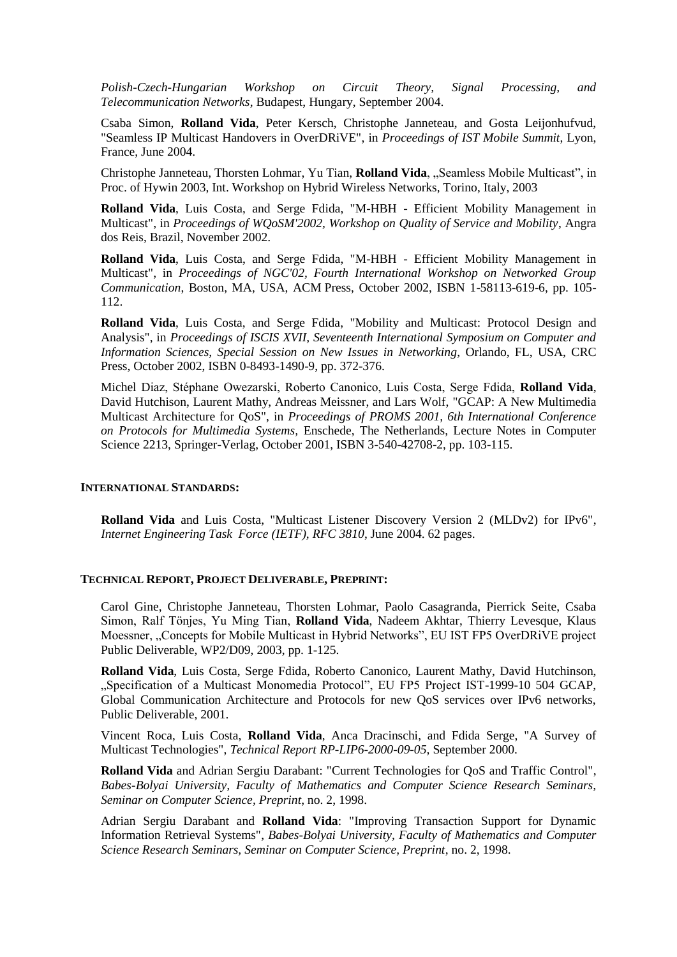*Polish-Czech-Hungarian Workshop on Circuit Theory, Signal Processing, and Telecommunication Networks*, Budapest, Hungary, September 2004.

Csaba Simon, **Rolland Vida**, Peter Kersch, Christophe Janneteau, and Gosta Leijonhufvud, ["Seamless IP Multicast Handovers in OverDRiVE",](http://w3.tmit.bme.hu/~vida/cv/mobilesummit_Simon_paper312.pdf) in *Proceedings of IST Mobile Summit*, Lyon, France, June 2004.

Christophe Janneteau, Thorsten Lohmar, Yu Tian, **Rolland Vida**, "Seamless Mobile Multicast", in Proc. of Hywin 2003, Int. Workshop on Hybrid Wireless Networks, Torino, Italy, 2003

**Rolland Vida**, Luis Costa, and Serge Fdida, "M-HBH - [Efficient Mobility Management in](http://w3.tmit.bme.hu/~vida/cv/vida_costa_fdida.pdf)  [Multicast",](http://w3.tmit.bme.hu/~vida/cv/vida_costa_fdida.pdf) in *Proceedings of WQoSM'2002, Workshop on Quality of Service and Mobility*, Angra dos Reis, Brazil, November 2002.

**Rolland Vida**, Luis Costa, and Serge Fdida, "M-HBH - [Efficient Mobility Management in](http://w3.tmit.bme.hu/~vida/cv/vida_costa_fdida.pdf)  [Multicast",](http://w3.tmit.bme.hu/~vida/cv/vida_costa_fdida.pdf) in *Proceedings of NGC'02, Fourth International Workshop on Networked Group Communication*, Boston, MA, USA, ACM Press, October 2002, ISBN 1-58113-619-6, pp. 105- 112.

**Rolland Vida**, Luis Costa, and Serge Fdida, ["Mobility and Multicast: Protocol](http://w3.tmit.bme.hu/~vida/cv/mob_mcast_iscis.pdf) Design and [Analysis",](http://w3.tmit.bme.hu/~vida/cv/mob_mcast_iscis.pdf) in *Proceedings of ISCIS XVII, Seventeenth International Symposium on Computer and Information Sciences, Special Session on New Issues in Networking*, Orlando, FL, USA, CRC Press, October 2002, ISBN 0-8493-1490-9, pp. 372-376.

Michel Diaz, Stéphane Owezarski, Roberto Canonico, Luis Costa, Serge Fdida, **Rolland Vida**, David Hutchison, Laurent Mathy, Andreas Meissner, and Lars Wolf, ["GCAP: A New Multimedia](http://w3.tmit.bme.hu/~vida/cv/proms01.pdf)  [Multicast Architecture for](http://w3.tmit.bme.hu/~vida/cv/proms01.pdf) QoS", in *Proceedings of PROMS 2001, 6th International Conference on Protocols for Multimedia Systems,* Enschede, The Netherlands, Lecture Notes in Computer Science 2213, Springer-Verlag, October 2001, ISBN 3-540-42708-2, pp. 103-115.

#### **INTERNATIONAL STANDARDS:**

**Rolland Vida** and Luis Costa, ["Multicast Listener Discovery Version 2 \(MLDv2\) for IPv6",](http://www.ietf.org/rfc/rfc3810) *Internet Engineering Task Force (IETF), RFC 3810*, June 2004. 62 pages.

## **TECHNICAL REPORT, PROJECT DELIVERABLE, PREPRINT:**

Carol Gine, Christophe Janneteau, Thorsten Lohmar, Paolo Casagranda, Pierrick Seite, Csaba Simon, Ralf Tönjes, Yu Ming Tian, **Rolland Vida**, Nadeem Akhtar, Thierry Levesque, Klaus Moessner, "Concepts for Mobile Multicast in Hybrid Networks", EU IST FP5 OverDRIVE project Public Deliverable, WP2/D09, 2003, pp. 1-125.

**Rolland Vida**, Luis Costa, Serge Fdida, Roberto Canonico, Laurent Mathy, David Hutchinson, "Specification of a Multicast Monomedia Protocol", EU FP5 Project IST-1999-10 504 GCAP, Global Communication Architecture and Protocols for new QoS services over IPv6 networks, Public Deliverable, 2001.

Vincent Roca, Luis Costa, **Rolland Vida**, Anca Dracinschi, and Fdida Serge, ["A Survey of](http://w3.tmit.bme.hu/~vida/cv/sota_mcast.pdf)  [Multicast Technologies",](http://w3.tmit.bme.hu/~vida/cv/sota_mcast.pdf) *Technical Report RP-LIP6-2000-09-05,* September 2000.

**Rolland Vida** and Adrian Sergiu Darabant: ["Current Technologies for QoS and Traffic Control",](http://w3.tmit.bme.hu/~vida/cv/current_qos.pdf) *Babes-Bolyai University, Faculty of Mathematics and Computer Science Research Seminars, Seminar on Computer Science, Preprint*, no. 2, 1998.

Adrian Sergiu Darabant and **Rolland Vida**: ["Improving Transaction Support for Dynamic](http://w3.tmit.bme.hu/~vida/cv/transaction.pdf)  [Information Retrieval Systems",](http://w3.tmit.bme.hu/~vida/cv/transaction.pdf) *Babes-Bolyai University, Faculty of Mathematics and Computer Science Research Seminars, Seminar on Computer Science, Preprint*, no. 2, 1998.